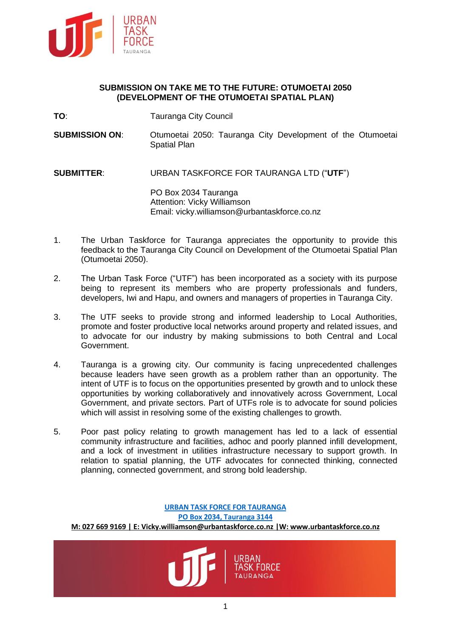

## **SUBMISSION ON TAKE ME TO THE FUTURE: OTUMOETAI 2050 (DEVELOPMENT OF THE OTUMOETAI SPATIAL PLAN)**

- **TO:** Tauranga City Council
- **SUBMISSION ON:** Otumoetai 2050: Tauranga City Development of the Otumoetai Spatial Plan

**SUBMITTER**: URBAN TASKFORCE FOR TAURANGA LTD ("**UTF**")

PO Box 2034 Tauranga Attention: Vicky Williamson Email: vicky.williamson@urbantaskforce.co.nz

- 1. The Urban Taskforce for Tauranga appreciates the opportunity to provide this feedback to the Tauranga City Council on Development of the Otumoetai Spatial Plan (Otumoetai 2050).
- 2. The Urban Task Force ("UTF") has been incorporated as a society with its purpose being to represent its members who are property professionals and funders, developers, Iwi and Hapu, and owners and managers of properties in Tauranga City.
- 3. The UTF seeks to provide strong and informed leadership to Local Authorities, promote and foster productive local networks around property and related issues, and to advocate for our industry by making submissions to both Central and Local Government.
- 4. Tauranga is a growing city. Our community is facing unprecedented challenges because leaders have seen growth as a problem rather than an opportunity. The intent of UTF is to focus on the opportunities presented by growth and to unlock these opportunities by working collaboratively and innovatively across Government, Local Government, and private sectors. Part of UTFs role is to advocate for sound policies which will assist in resolving some of the existing challenges to growth.
- 5. Poor past policy relating to growth management has led to a lack of essential community infrastructure and facilities, adhoc and poorly planned infill development, and a lock of investment in utilities infrastructure necessary to support growth. In relation to spatial planning, the UTF advocates for connected thinking, connected planning, connected government, and strong bold leadership.

**URBAN TASK FORCE FOR TAURANGA PO Box 2034, Tauranga 3144 M: 027 669 9169 | E[: Vicky.williamson@urbantaskforce.co.nz](mailto:Vicky.williamson@urbantaskforce.co.nz) |W[: www.urbantaskforce.co.nz](http://www.urbantaskforce.co.nz/)**

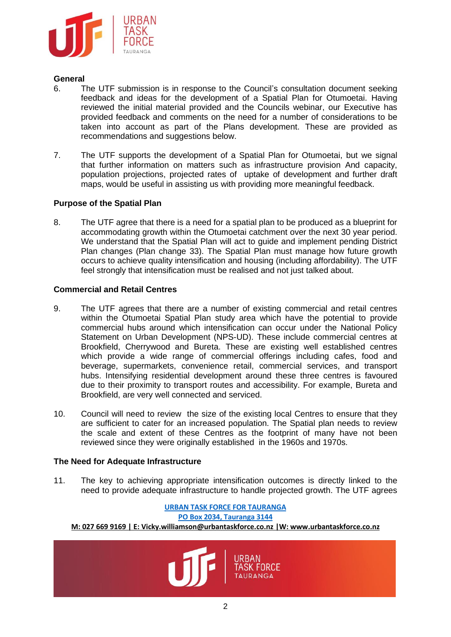

## **General**

- 6. The UTF submission is in response to the Council's consultation document seeking feedback and ideas for the development of a Spatial Plan for Otumoetai. Having reviewed the initial material provided and the Councils webinar, our Executive has provided feedback and comments on the need for a number of considerations to be taken into account as part of the Plans development. These are provided as recommendations and suggestions below.
- 7. The UTF supports the development of a Spatial Plan for Otumoetai, but we signal that further information on matters such as infrastructure provision And capacity, population projections, projected rates of uptake of development and further draft maps, would be useful in assisting us with providing more meaningful feedback.

## **Purpose of the Spatial Plan**

8. The UTF agree that there is a need for a spatial plan to be produced as a blueprint for accommodating growth within the Otumoetai catchment over the next 30 year period. We understand that the Spatial Plan will act to guide and implement pending District Plan changes (Plan change 33). The Spatial Plan must manage how future growth occurs to achieve quality intensification and housing (including affordability). The UTF feel strongly that intensification must be realised and not just talked about.

## **Commercial and Retail Centres**

- 9. The UTF agrees that there are a number of existing commercial and retail centres within the Otumoetai Spatial Plan study area which have the potential to provide commercial hubs around which intensification can occur under the National Policy Statement on Urban Development (NPS-UD). These include commercial centres at Brookfield, Cherrywood and Bureta. These are existing well established centres which provide a wide range of commercial offerings including cafes, food and beverage, supermarkets, convenience retail, commercial services, and transport hubs. Intensifying residential development around these three centres is favoured due to their proximity to transport routes and accessibility. For example, Bureta and Brookfield, are very well connected and serviced.
- 10. Council will need to review the size of the existing local Centres to ensure that they are sufficient to cater for an increased population. The Spatial plan needs to review the scale and extent of these Centres as the footprint of many have not been reviewed since they were originally established in the 1960s and 1970s.

## **The Need for Adequate Infrastructure**

11. The key to achieving appropriate intensification outcomes is directly linked to the need to provide adequate infrastructure to handle projected growth. The UTF agrees

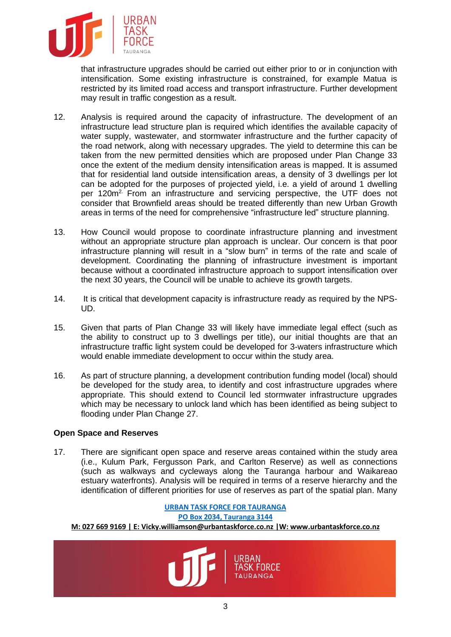

that infrastructure upgrades should be carried out either prior to or in conjunction with intensification. Some existing infrastructure is constrained, for example Matua is restricted by its limited road access and transport infrastructure. Further development may result in traffic congestion as a result.

- 12. Analysis is required around the capacity of infrastructure. The development of an infrastructure lead structure plan is required which identifies the available capacity of water supply, wastewater, and stormwater infrastructure and the further capacity of the road network, along with necessary upgrades. The yield to determine this can be taken from the new permitted densities which are proposed under Plan Change 33 once the extent of the medium density intensification areas is mapped. It is assumed that for residential land outside intensification areas, a density of 3 dwellings per lot can be adopted for the purposes of projected yield, i.e. a yield of around 1 dwelling per 120m2. From an infrastructure and servicing perspective, the UTF does not consider that Brownfield areas should be treated differently than new Urban Growth areas in terms of the need for comprehensive "infrastructure led" structure planning.
- 13. How Council would propose to coordinate infrastructure planning and investment without an appropriate structure plan approach is unclear. Our concern is that poor infrastructure planning will result in a "slow burn" in terms of the rate and scale of development. Coordinating the planning of infrastructure investment is important because without a coordinated infrastructure approach to support intensification over the next 30 years, the Council will be unable to achieve its growth targets.
- 14. It is critical that development capacity is infrastructure ready as required by the NPS-UD.
- 15. Given that parts of Plan Change 33 will likely have immediate legal effect (such as the ability to construct up to 3 dwellings per title), our initial thoughts are that an infrastructure traffic light system could be developed for 3-waters infrastructure which would enable immediate development to occur within the study area.
- 16. As part of structure planning, a development contribution funding model (local) should be developed for the study area, to identify and cost infrastructure upgrades where appropriate. This should extend to Council led stormwater infrastructure upgrades which may be necessary to unlock land which has been identified as being subject to flooding under Plan Change 27.

## **Open Space and Reserves**

17. There are significant open space and reserve areas contained within the study area (i.e., Kulum Park, Fergusson Park, and Carlton Reserve) as well as connections (such as walkways and cycleways along the Tauranga harbour and Waikareao estuary waterfronts). Analysis will be required in terms of a reserve hierarchy and the identification of different priorities for use of reserves as part of the spatial plan. Many

# **URBAN TASK FORCE FOR TAURANGA PO Box 2034, Tauranga 3144 M: 027 669 9169 | E[: Vicky.williamson@urbantaskforce.co.nz](mailto:Vicky.williamson@urbantaskforce.co.nz) |W[: www.urbantaskforce.co.nz](http://www.urbantaskforce.co.nz/) TAURANGA**